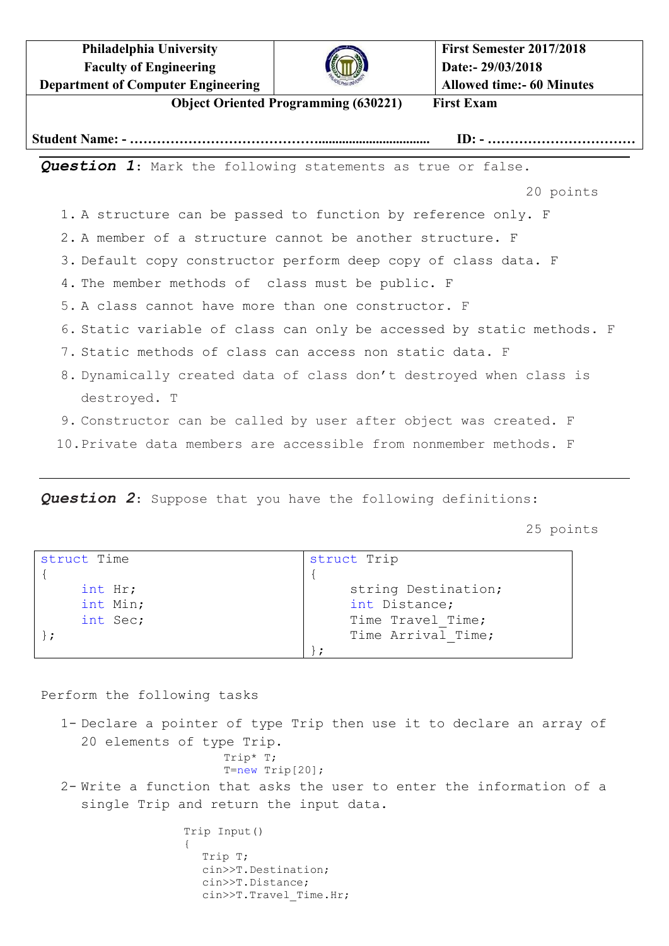**Philadelphia University Faculty of Engineering Department of Computer Engineering**



**Object Oriented Programming (630221) First Exam**

**Student Name: - ……………………………………................................. ID: - ……………………………**

*Question 1*: Mark the following statements as true or false.

20 points

- 1. A structure can be passed to function by reference only. F
- 2. A member of a structure cannot be another structure. F
- 3. Default copy constructor perform deep copy of class data. F
- 4. The member methods of class must be public. F
- 5. A class cannot have more than one constructor. F
- 6. Static variable of class can only be accessed by static methods. F
- 7. Static methods of class can access non static data. F
- 8. Dynamically created data of class don't destroyed when class is destroyed. T
- 9. Constructor can be called by user after object was created. F
- 10.Private data members are accessible from nonmember methods. F

*Question 2*: Suppose that you have the following definitions:

25 points

| struct Time | struct Trip         |
|-------------|---------------------|
|             |                     |
| int Hr;     | string Destination; |
| int Min;    | int Distance;       |
| int Sec;    | Time Travel Time;   |
|             | Time Arrival Time;  |
|             |                     |

Perform the following tasks

1- Declare a pointer of type Trip then use it to declare an array of 20 elements of type Trip. Trip\* T;  $T=new$  Trip $[20]$ ; 2- Write a function that asks the user to enter the information of a single Trip and return the input data.

```
Trip Input()
{
  Trip T;
  cin>>T.Destination;
  cin>>T.Distance;
  cin>>T.Travel_Time.Hr;
```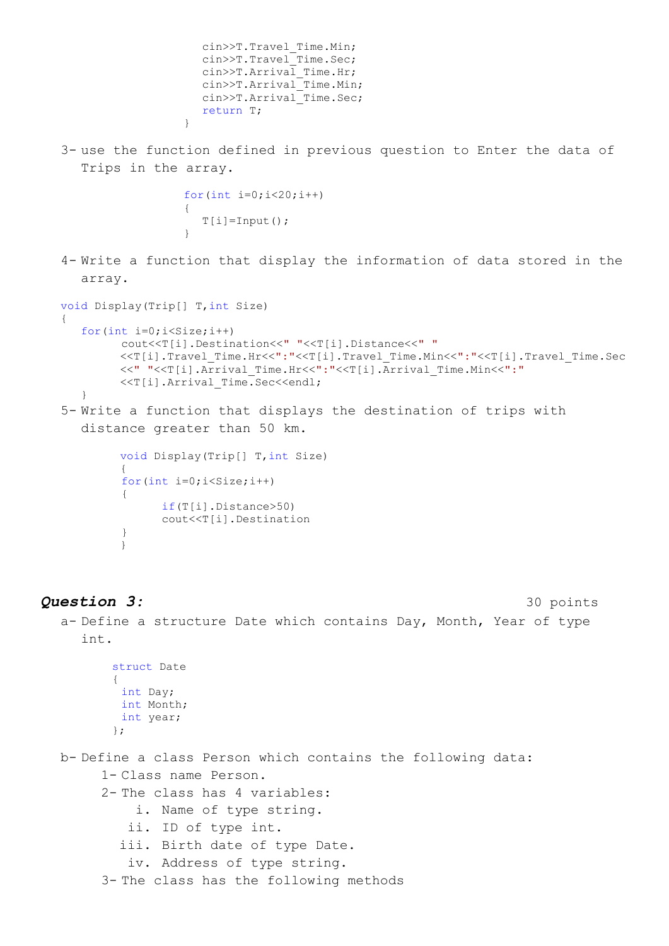```
cin>>T.Travel_Time.Min;
cin>>T.Travel_Time.Sec;
cin>>T.Arrival_Time.Hr;
cin>>T.Arrival_Time.Min;
cin>>T.Arrival_Time.Sec;
return T;
```
3- use the function defined in previous question to Enter the data of Trips in the array.

```
for(int i=0; i<20; i++){
   T[i]=Input();}
```
}

4- Write a function that display the information of data stored in the array.

```
void Display(Trip[] T,int Size)
{
  for(int i=0; i<Size; i++)
        cout<<T[i].Destination<<" "<<T[i].Distance<<" "
        <<T[i].Travel_Time.Hr<<":"<<T[i].Travel_Time.Min<<":"<<T[i].Travel_Time.Sec
        <<" "<<T[i].Arrival_Time.Hr<<":"<<T[i].Arrival_Time.Min<<":"
        <<T[i].Arrival_Time.Sec<<endl;
   }
5- Write a function that displays the destination of trips with 
  distance greater than 50 km.
        void Display(Trip[] T,int Size)
        {
        for(int i=0; i<Size; i++)
         {
              if(T[i].Distance>50)
```
} }

**Question 3:** 30 points

a- Define a structure Date which contains Day, Month, Year of type int.

```
struct Date
{
 int Day;
 int Month;
 int year;
};
```

```
b- Define a class Person which contains the following data:
     1- Class name Person.
     2- The class has 4 variables:
```
- i. Name of type string.
- ii. ID of type int.
- iii. Birth date of type Date.

cout<<T[i].Destination

```
iv. Address of type string.
```
3- The class has the following methods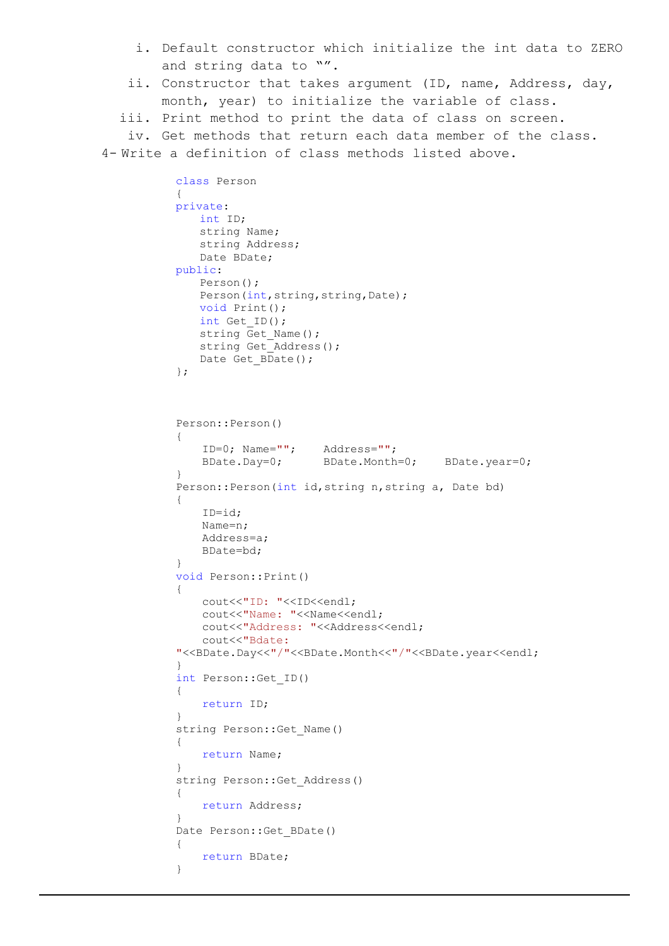- i. Default constructor which initialize the int data to ZERO and string data to "".
- ii. Constructor that takes argument (ID, name, Address, day, month, year) to initialize the variable of class.
- iii. Print method to print the data of class on screen.

iv. Get methods that return each data member of the class.

4- Write a definition of class methods listed above.

```
class Person
{
private:
   int ID;
   string Name;
   string Address;
   Date BDate;
public:
   Person();
   Person(int, string, string, Date);
   void Print();
   int Get_ID();
   string Get_Name();
   string Get Address();
   Date Get \overline{B}Date();
};
Person::Person()
{
    ID=0; Name=""; Address="";
    BDate.Day=0; BDate.Month=0; BDate.year=0;
}
Person::Person(int id,string n,string a, Date bd)
{
   ID=id;
   Name=n;
   Address=a;
   BDate=bd;
}
void Person::Print()
{
   cout<<"ID: "<<ID<<endl;
   cout<<"Name: "<<Name<<endl;
   cout<<"Address: "<<Address<<endl;
   cout<<"Bdate: 
"<<BDate.Day<<"/www.month>>bl><<br/>"<<BDate.year<<endl;
}
int Person::Get_ID()
{
   return ID;
}
string Person::Get_Name()
{
   return Name;
}
string Person::Get_Address()
{
   return Address;
}
Date Person::Get BDate()
{
   return BDate;
}
```